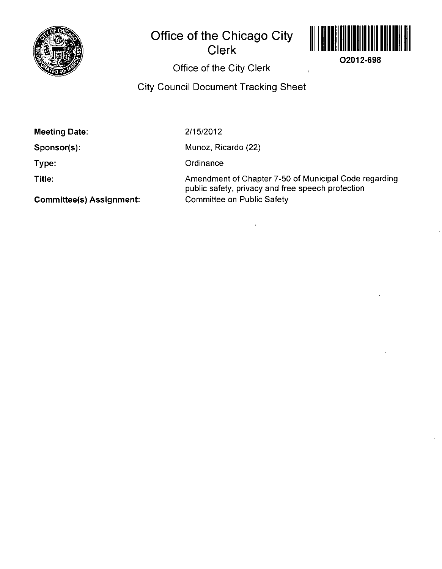

# **Office of the Chicago City Clerk**



**02012-698** 

# Office of the City Clerk

## City Council Document Tracking Sheet

**Meeting Date:** 

**Sponsor(s):** 

2/15/2012

Munoz, Ricardo (22)

**Ordinance** 

**Type: Title:** 

**Commlttee(s) Assignment:** 

Amendment of Chapter 7-50 of Municipal Code regarding public safety, privacy and free speech protection Committee on Public Safety

 $\ddot{\phantom{a}}$ 

 $\overline{1}$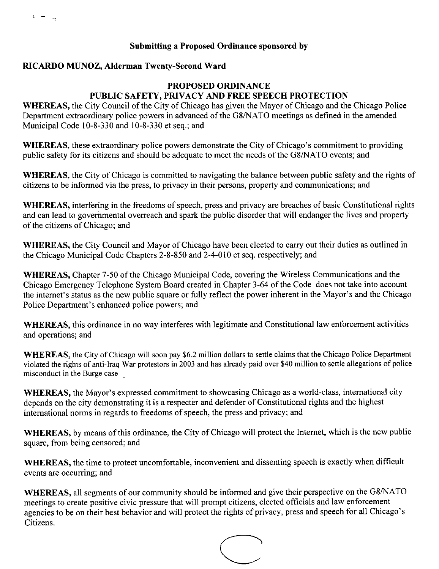### **Submitting a Proposed Ordinance sponsored by**

#### **RICARDO MUNOZ, Alderman Twenty-Second Ward**

## PROPOSED ORDINANCE PUBLIC SAFETY, PRIVACY AND FREE SPEECH PROTECTION

WHEREAS, the City Council of the City of Chicago has given the Mayor of Chicago and the Chicago Police Department extraordinary police powers in advanced of the G8/NATO meetings as defined in the amended Municipal Code 10-8-330 and 10-8-330 et seq.; and

WHEREAS, these extraordinary police powers demonstrate the City of Chicago's commitment to providing public safety for its citizens and should be adequate to meet the needs of the G8/NAT0 events; and

WHEREAS, the City of Chicago is committed to navigating the balance between public safety and the rights of citizens to be informed via the press, to privacy in their persons, property and communications; and

WHEREAS, interfering in the freedoms of speech, press and privacy are breaches of basic Constitutional rights and can lead to governmental overreach and spark the public disorder that will endanger the lives and property of the citizens of Chicago; and

WHEREAS, the City Council and Mayor of Chicago have been elected to carry out their duties as outlined in the Chicago Municipal Code Chapters 2-8-850 and 2-4-010 et seq. respectively; and

WHEREAS, Chapter 7-50 of the Chicago Municipal Code, covering the Wireless Communications and the Chicago Emergency Telephone System Board created in Chapter 3-64 of the Code does not take into account the internet's status as the new public square or fully reflect the power inherent in the Mayor's and the Chicago Police Department's enhanced police powers; and

WHEREAS, this ordinance in no way interferes with legitimate and Constitutional law enforcement activities and operations; and

WHEREAS, the City of Chicago will soon pay \$6.2 million dollars to settle claims that the Chicago Police Department violated the rights of anti-Iraq War protestors in 2003 and has already paid over \$40 million to settle allegations of police misconduct in the Burge case

WHEREAS, the Mayor's expressed commitment to showcasing Chicago as a world-class, intemational city depends on the city demonstrating it is a respecter and defender of Constitutional rights and the highest international norms in regards to freedoms of speech, the press and privacy; and

WHEREAS, by means of this ordinance, the City of Chicago will protect the Intemet, which is the new public square, from being censored; and

WHEREAS, the time to protect uncomfortable, inconvenient and dissenting speech is exactly when difficult events are occurring; and

WHEREAS, all segments of our community should be informed and give their perspective on the G8/NAT0 meetings to create positive civic pressure that will prompt citizens, elected officials and law enforcement agencies to be on their best behavior and will protect the rights of privacy, press and speech for all Chicago's Citizens.